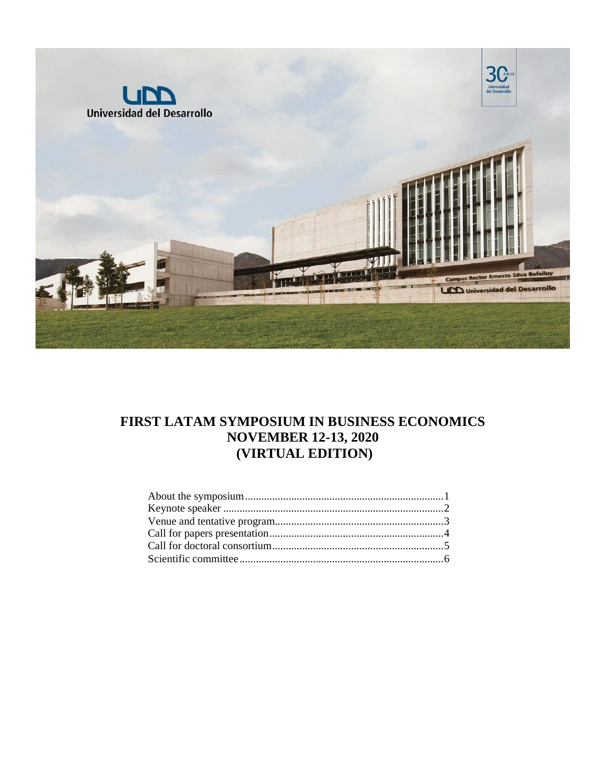

# **FIRST LATAM SYMPOSIUM IN BUSINESS ECONOMICS NOVEMBER 12-13, 2020 (VIRTUAL EDITION)**

<span id="page-0-0"></span>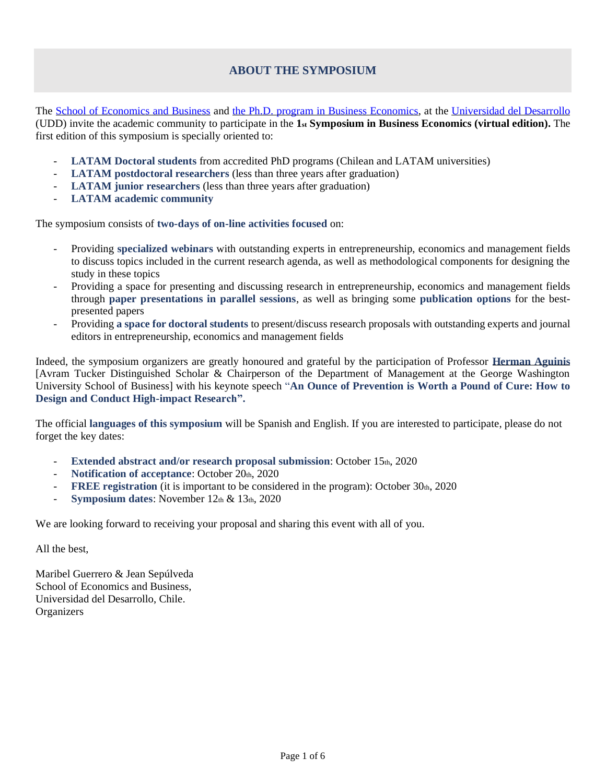## **ABOUT THE SYMPOSIUM**

The [School of Economics and Business](https://negocios.udd.cl/) and [the Ph.D. program in Business Economics,](https://negocios.udd.cl/doctorado/es/) at the [Universidad del Desarrollo](https://www.udd.cl/) (UDD) invite the academic community to participate in the **1st Symposium in Business Economics (virtual edition).** The first edition of this symposium is specially oriented to:

- **LATAM Doctoral students** from accredited PhD programs (Chilean and LATAM universities)
- **LATAM postdoctoral researchers** (less than three years after graduation)
- **LATAM junior researchers** (less than three years after graduation)
- **LATAM academic community**

The symposium consists of **two-days of on-line activities focused** on:

- Providing **specialized webinars** with outstanding experts in entrepreneurship, economics and management fields to discuss topics included in the current research agenda, as well as methodological components for designing the study in these topics
- Providing a space for presenting and discussing research in entrepreneurship, economics and management fields through **paper presentations in parallel sessions**, as well as bringing some **publication options** for the bestpresented papers
- Providing **a space for doctoral students** to present/discuss research proposals with outstanding experts and journal editors in entrepreneurship, economics and management fields

Indeed, the symposium organizers are greatly honoured and grateful by the participation of Professor **[Herman Aguinis](http://hermanaguinis.com/)** [Avram Tucker Distinguished Scholar & Chairperson of the Department of Management at the George Washington University School of Business] with his keynote speech "**An Ounce of Prevention is Worth a Pound of Cure: How to Design and Conduct High-impact Research".** 

The official **languages of this symposium** will be Spanish and English. If you are interested to participate, please do not forget the key dates:

- **Extended abstract and/or research proposal submission**: October 15th, 2020
- Notification of acceptance: October 20th, 2020
- **FREE registration** (it is important to be considered in the program): October 30th, 2020
- **Symposium dates**: November 12th & 13th, 2020

We are looking forward to receiving your proposal and sharing this event with all of you.

All the best,

Maribel Guerrero & Jean Sepúlveda School of Economics and Business, Universidad del Desarrollo, Chile. **Organizers**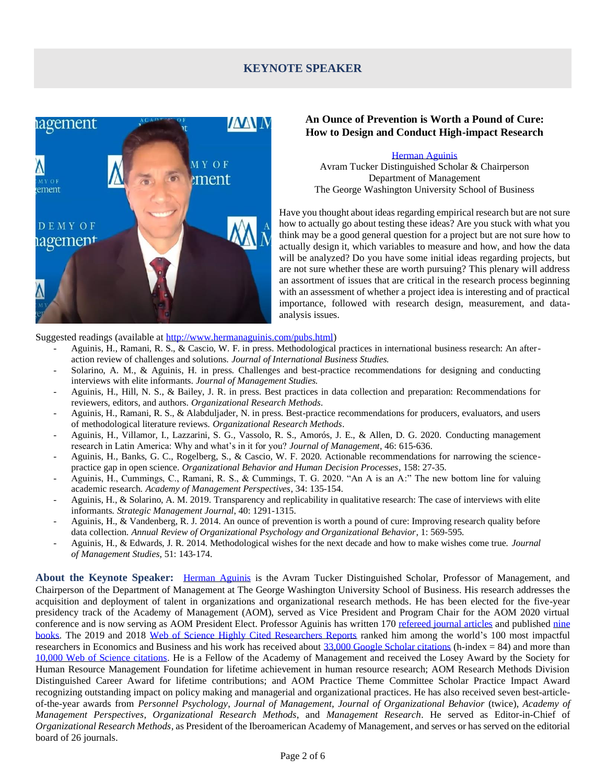## **KEYNOTE SPEAKER**

<span id="page-2-0"></span>

### **An Ounce of Prevention is Worth a Pound of Cure: How to Design and Conduct High-impact Research**

[Herman Aguinis](http://hermanaguinis.com/) Avram Tucker Distinguished Scholar & Chairperson Department of Management The George Washington University School of Business

Have you thought about ideas regarding empirical research but are not sure how to actually go about testing these ideas? Are you stuck with what you think may be a good general question for a project but are not sure how to actually design it, which variables to measure and how, and how the data will be analyzed? Do you have some initial ideas regarding projects, but are not sure whether these are worth pursuing? This plenary will address an assortment of issues that are critical in the research process beginning with an assessment of whether a project idea is interesting and of practical importance, followed with research design, measurement, and dataanalysis issues.

Suggested readings (available a[t http://www.hermanaguinis.com/pubs.html\)](http://www.hermanaguinis.com/pubs.html)

- Aguinis, H., Ramani, R. S., & Cascio, W. F. in press. Methodological practices in international business research: An afteraction review of challenges and solutions. *Journal of International Business Studies.*
- Solarino, A. M., & Aguinis, H. in press. Challenges and best-practice recommendations for designing and conducting interviews with elite informants. *Journal of Management Studies.*
- Aguinis, H., Hill, N. S., & Bailey, J. R. in press. Best practices in data collection and preparation: Recommendations for reviewers, editors, and authors. *Organizational Research Methods*.
- Aguinis, H., Ramani, R. S., & Alabduljader, N. in press. Best-practice recommendations for producers, evaluators, and users of methodological literature reviews. *Organizational Research Methods*.
- Aguinis, H., Villamor, I., Lazzarini, S. G., Vassolo, R. S., Amorós, J. E., & Allen, D. G. 2020. Conducting management research in Latin America: Why and what's in it for you? *Journal of Management*, 46: 615-636.
- Aguinis, H., Banks, G. C., Rogelberg, S., & Cascio, W. F. 2020. Actionable recommendations for narrowing the sciencepractice gap in open science. *Organizational Behavior and Human Decision Processes*, 158: 27-35.
- Aguinis, H., Cummings, C., Ramani, R. S., & Cummings, T. G. 2020. "An A is an A:" The new bottom line for valuing academic research. *Academy of Management Perspectives*, 34: 135-154.
- Aguinis, H., & Solarino, A. M. 2019. Transparency and replicability in qualitative research: The case of interviews with elite informants. *Strategic Management Journal*, 40: 1291-1315.
- Aguinis, H., & Vandenberg, R. J. 2014. An ounce of prevention is worth a pound of cure: Improving research quality before data collection. *Annual Review of Organizational Psychology and Organizational Behavior*, 1: 569-595.
- Aguinis, H., & Edwards, J. R. 2014. Methodological wishes for the next decade and how to make wishes come true. *Journal of Management Studies*, 51: 143-174.

**About the Keynote Speaker:** [Herman Aguinis](http://hermanaguinis.com/) is the Avram Tucker Distinguished Scholar, Professor of Management, and Chairperson of the Department of Management at The George Washington University School of Business. His research addresses the acquisition and deployment of talent in organizations and organizational research methods. He has been elected for the five-year presidency track of the Academy of Management (AOM), served as Vice President and Program Chair for the AOM 2020 virtual conference and is now serving as AOM President Elect. Professor Aguinis has written 17[0 refereed journal articles](http://www.hermanaguinis.com/pubs.html) and published nine [books.](http://www.hermanaguinis.com/Books.htm) The 2019 and 2018 [Web of Science Highly Cited Researchers Reports](https://recognition.webofsciencegroup.com/awards/highly-cited/2019/) ranked him among the world's 100 most impactful researchers in Economics and Business and his work has received about [33,000 Google Scholar citations](https://scholar.google.com/citations?user=VbMNUXoAAAAJ&hl=en) (h-index = 84) and more than [10,000 Web of Science citations.](https://publons.com/researcher/1641441/herman-aguinis/) He is a Fellow of the Academy of Management and received the Losey Award by the Society for Human Resource Management Foundation for lifetime achievement in human resource research; AOM Research Methods Division Distinguished Career Award for lifetime contributions; and AOM Practice Theme Committee Scholar Practice Impact Award recognizing outstanding impact on policy making and managerial and organizational practices. He has also received seven best-articleof-the-year awards from *Personnel Psychology*, *Journal of Management*, *Journal of Organizational Behavior* (twice), *Academy of Management Perspectives*, *Organizational Research Methods*, and *Management Research*. He served as Editor-in-Chief of *Organizational Research Methods*, as President of the Iberoamerican Academy of Management, and serves or has served on the editorial board of 26 journals.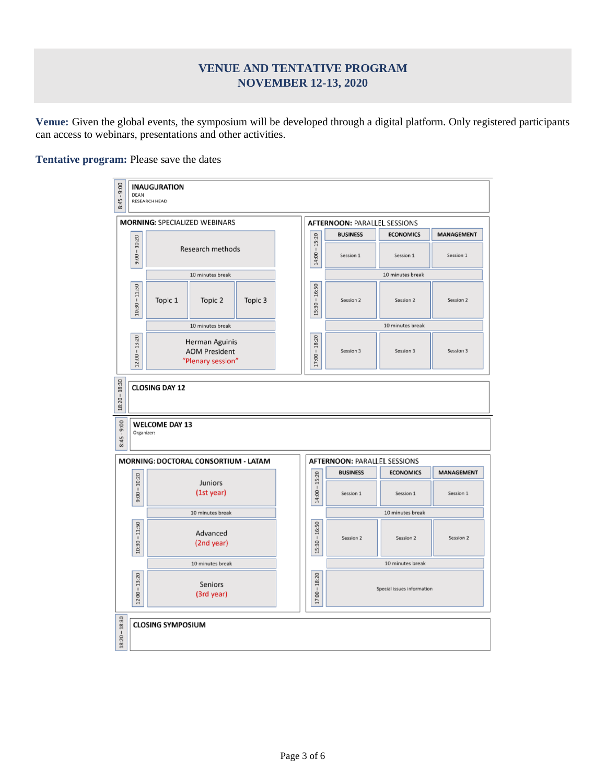## **VENUE AND TENTATIVE PROGRAM NOVEMBER 12-13, 2020**

<span id="page-3-0"></span>**Venue:** Given the global events, the symposium will be developed through a digital platform. Only registered participants can access to webinars, presentations and other activities.

**Tentative program:** Please save the dates

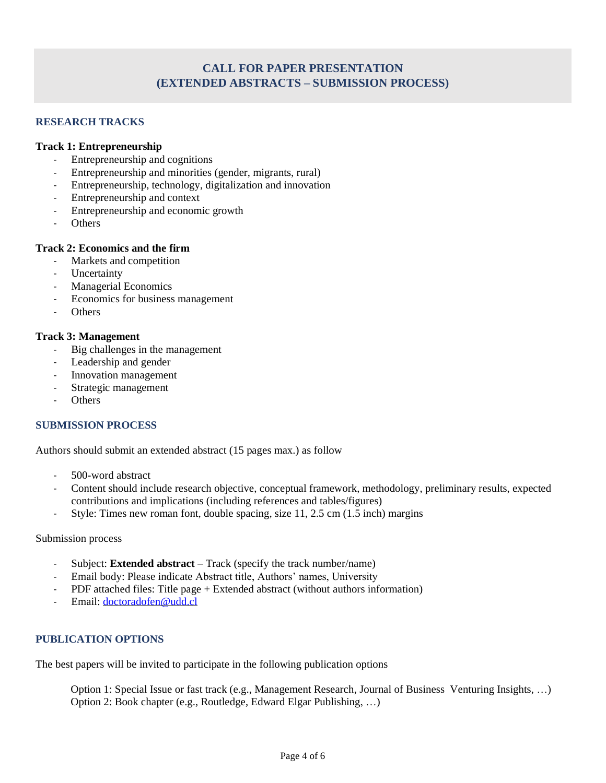## **CALL FOR PAPER PRESENTATION (EXTENDED ABSTRACTS – SUBMISSION PROCESS)**

## <span id="page-4-0"></span>**RESEARCH TRACKS**

## **Track 1: Entrepreneurship**

- Entrepreneurship and cognitions
- Entrepreneurship and minorities (gender, migrants, rural)
- Entrepreneurship, technology, digitalization and innovation
- Entrepreneurship and context
- Entrepreneurship and economic growth
- **Others**

### **Track 2: Economics and the firm**

- Markets and competition
- **Uncertainty**
- Managerial Economics
- Economics for business management
- **Others**

### **Track 3: Management**

- Big challenges in the management
- Leadership and gender
- Innovation management
- Strategic management
- **Others**

## **SUBMISSION PROCESS**

Authors should submit an extended abstract (15 pages max.) as follow

- 500-word abstract
- Content should include research objective, conceptual framework, methodology, preliminary results, expected contributions and implications (including references and tables/figures)
- Style: Times new roman font, double spacing, size 11, 2.5 cm (1.5 inch) margins

#### Submission process

- Subject: **Extended abstract** Track (specify the track number/name)
- Email body: Please indicate Abstract title, Authors' names, University
- PDF attached files: Title page + Extended abstract (without authors information)
- Email: [doctoradofen@udd.cl](mailto:doctoradofen@udd.cl)

## **PUBLICATION OPTIONS**

The best papers will be invited to participate in the following publication options

Option 1: Special Issue or fast track (e.g., Management Research, Journal of Business Venturing Insights, …) Option 2: Book chapter (e.g., Routledge, Edward Elgar Publishing, …)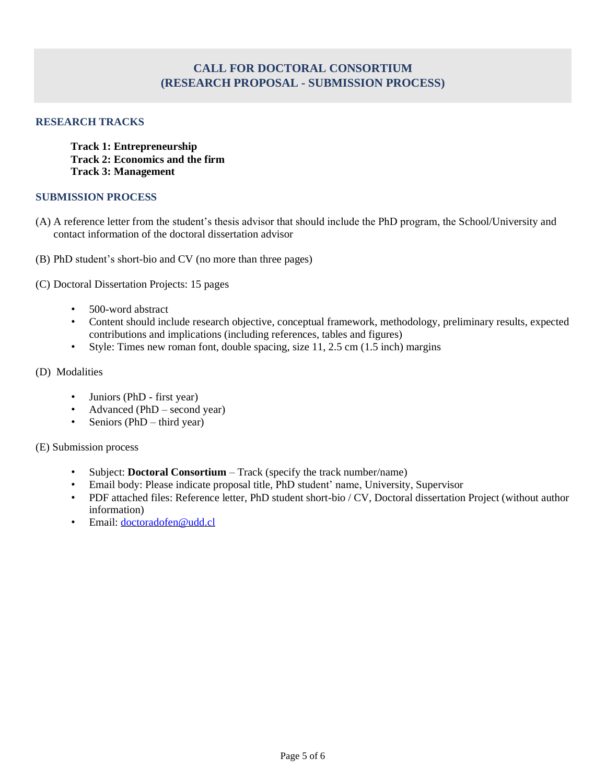## **CALL FOR DOCTORAL CONSORTIUM (RESEARCH PROPOSAL - SUBMISSION PROCESS)**

## <span id="page-5-0"></span>**RESEARCH TRACKS**

**Track 1: Entrepreneurship Track 2: Economics and the firm Track 3: Management** 

### **SUBMISSION PROCESS**

- (A) A reference letter from the student's thesis advisor that should include the PhD program, the School/University and contact information of the doctoral dissertation advisor
- (B) PhD student's short-bio and CV (no more than three pages)
- (C) Doctoral Dissertation Projects: 15 pages
	- 500-word abstract
	- Content should include research objective, conceptual framework, methodology, preliminary results, expected contributions and implications (including references, tables and figures)
	- Style: Times new roman font, double spacing, size 11, 2.5 cm (1.5 inch) margins
- (D) Modalities
	- Juniors (PhD first year)
	- Advanced ( $PhD$  second year)
	- Seniors (PhD third year)
- (E) Submission process
	- Subject: **Doctoral Consortium** Track (specify the track number/name)
	- Email body: Please indicate proposal title, PhD student' name, University, Supervisor
	- PDF attached files: Reference letter, PhD student short-bio / CV, Doctoral dissertation Project (without author information)
	- Email: [doctoradofen@udd.cl](mailto:doctoradofen@udd.cl)